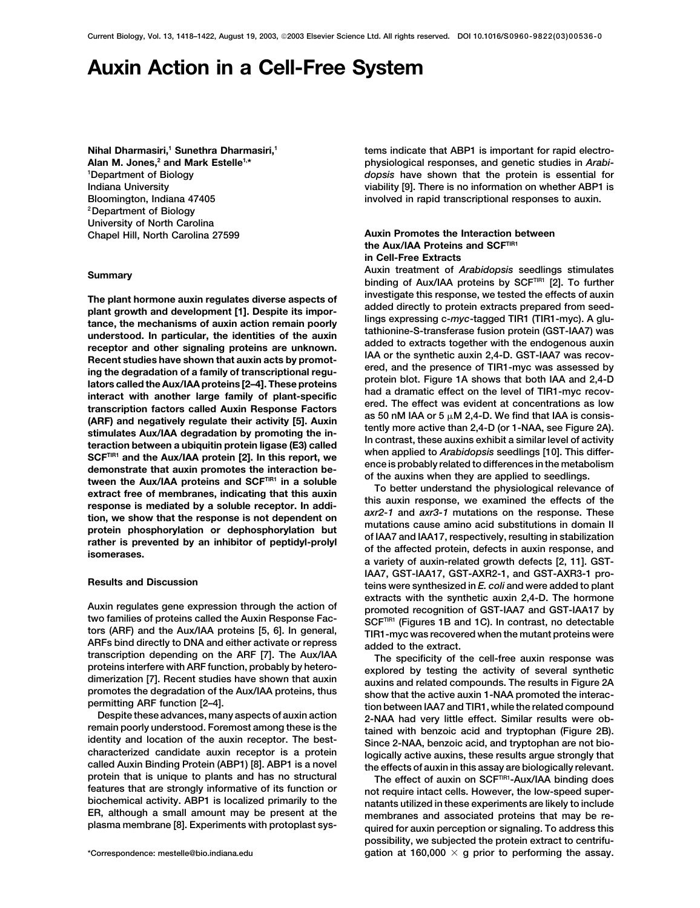# **Auxin Action in a Cell-Free System**

**Department of Biology 2Department of Biology University of North Carolina Chapel Hill, North Carolina 27599 Auxin Promotes the Interaction between**

The plant hormone auxin regulates diverse aspects of<br>
land dietectly to protein extracts prepared from seed-<br>
land evelopment [1]. Despite its impor-<br>
added directly to protein extracts prepared from seed-<br>
tance, the mec

**Nihal Dharmasiri,<sup>1</sup> Sunethra Dharmasiri,<sup>1</sup> 1 <b>1998 1 1 1 i** tems indicate that ABP1 is important for rapid electro-Alan M. Jones,<sup>2</sup> and Mark Estelle<sup>1,\*</sup> *physiological responses, and genetic studies in Arabidopsis* **have shown that the protein is essential for <sup>1</sup> Indiana University viability [9]. There is no information on whether ABP1 is Bloomington, Indiana 47405 involved in rapid transcriptional responses to auxin.**

## the Aux/IAA Proteins and SCF<sup>TIR1</sup> **in Cell-Free Extracts**

**Auxin treatment of** *Arabidopsis* **seedlings stimulates Summary binding of Aux/IAA proteins by SCFTIR1 [2]. To further**

**IAA7, GST-IAA17, GST-AXR2-1, and GST-AXR3-1 pro- Results and Discussion teins were synthesized in** *E. coli* **and were added to plant** Auxin regulates gene expression through the action of<br>two families of proteins called the Auxin Response Fac-<br>tors (ARF) and the Aux/IAA proteins [5, 6]. In general,<br>ARFs bind directly to DNA and either activate or repress

transcription depending on the ARF [7]. The Aux/IAA The specificity of the cell-free auxin response was<br>proteins interfere with ARF function, probably by hetero-<br>galaximism and related compounds. The results in Figure 2A<br>

**possibility, we subjected the protein extract to centrifu** gation at  $160,000 \times g$  prior to performing the assay.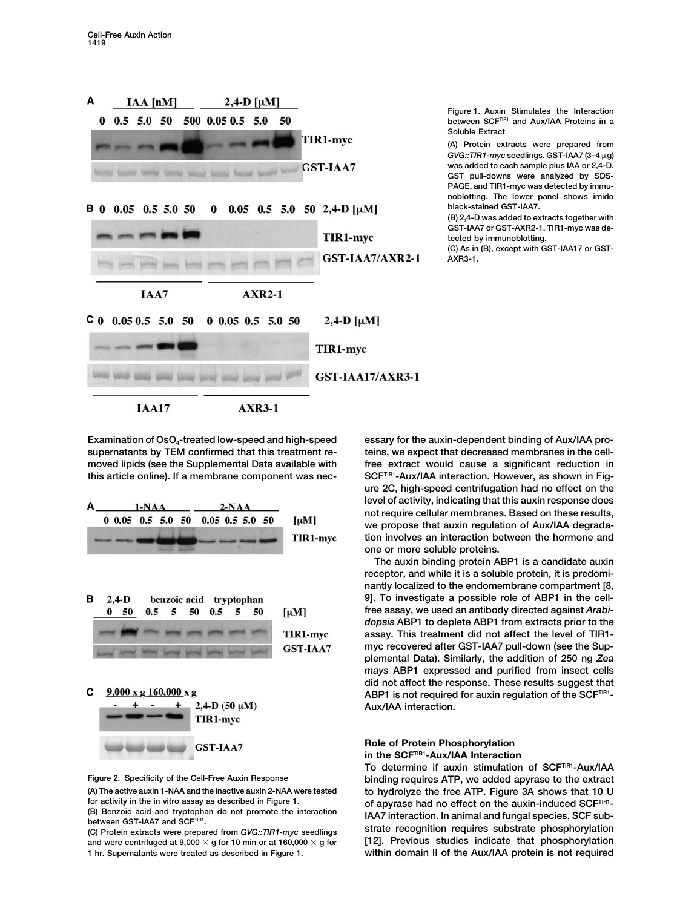| A | $IAA$ $[nM]$                 | $2,4$ -D [ $\mu$ M]                      | Fi                                      |
|---|------------------------------|------------------------------------------|-----------------------------------------|
| 0 |                              | $0.5$ 5.0 50 500 0.05 0.5 5.0 50         | b                                       |
|   |                              |                                          | S<br>TIR1-myc<br>(A<br>G                |
|   |                              |                                          | W.<br>GST-IAA7<br>G.<br>P               |
|   | <b>B</b> 0 0.05 0.5 5.0 50 0 | 0.05 0.5 5.0 50 2,4-D $\left[\mu\right]$ | no<br>bl<br>(B                          |
|   |                              |                                          | G.<br>TIR1-myc<br>te                    |
|   |                              |                                          | $\overline{C}$<br>GST-IAA7/AXR2-1<br>A) |
|   | IAA7                         | $AXR2-1$                                 |                                         |
|   |                              | $C_0$ 0.05 0.5 5.0 50 0 0.05 0.5 5.0 50  | 2,4-D $[\mu M]$                         |
|   |                              |                                          | TIR1-myc                                |
|   |                              |                                          | <b>GST-IAA17/AXR3-1</b>                 |
|   | <b>IAA17</b>                 | <b>AXR3-1</b>                            |                                         |

**Figure 1. Auxin Stimulates the Interaction between SCFTIR1 and Aux/IAA Proteins in a Soluble Extract**

**(A) Protein extracts were prepared from** *GVG::TIR1-myc* **seedlings. GST-IAA7 (3–4 g) was added to each sample plus IAA or 2,4-D. GST pull-downs were analyzed by SDS-PAGE, and TIR1-myc was detected by immunoblotting. The lower panel shows imido black-stained GST-IAA7.**

**(B) 2,4-D was added to extracts together with GST-IAA7 or GST-AXR2-1. TIR1-myc was detected by immunoblotting.**

**(C) As in (B), except with GST-IAA17 or GST-AXR3-1.**

Examination of OsO<sub>4</sub>-treated low-speed and high-speed essary for the auxin-dependent binding of Aux/IAA pro-







and were centrifuged at 9,000  $\times$  g for 10 min or at 160,000  $\times$ 

**supernatants by TEM confirmed that this treatment re- teins, we expect that decreased membranes in the cell**moved lipids (see the Supplemental Data available with free extract would cause a significant reduction in this article online). If a membrane component was nec-<br>SCF<sup>TIR1</sup>-Aux/IAA interaction. However, as shown in Fig**ure 2C, high-speed centrifugation had no effect on the level of activity, indicating that this auxin response does not require cellular membranes. Based on these results, we propose that auxin regulation of Aux/IAA degradation involves an interaction between the hormone and one or more soluble proteins.**

> **The auxin binding protein ABP1 is a candidate auxin receptor, and while it is a soluble protein, it is predominantly localized to the endomembrane compartment [8, 9]. To investigate a possible role of ABP1 in the cellfree assay, we used an antibody directed against** *Arabidopsis* **ABP1 to deplete ABP1 from extracts prior to the assay. This treatment did not affect the level of TIR1 myc recovered after GST-IAA7 pull-down (see the Supplemental Data). Similarly, the addition of 250 ng** *Zea mays* **ABP1 expressed and purified from insect cells did not affect the response. These results suggest that** ABP1 is not required for auxin regulation of the SCF<sup>TIR1</sup>-**Aux/IAA interaction.**

## **Role of Protein Phosphorylation in the SCFTIR1-Aux/IAA Interaction**

To determine if auxin stimulation of SCF<sup>TIR1</sup>-Aux/IAA **Figure 2. Specificity of the Cell-Free Auxin Response binding requires ATP, we added apyrase to the extract (A) The active auxin 1-NAA and the inactive auxin 2-NAA were tested to hydrolyze the free ATP. Figure 3A shows that 10 U** for activity in the in vitro assay as described in Figure 1.<br>
(B) Benzoic acid and tryptophan do not promote the interaction<br>
between GST-IAA7 and SCF™!<br>
(C) Protein extracts were prepared from GVG::TIR1-myc seedlings str **g for [12]. Previous studies indicate that phosphorylation 1 hr. Supernatants were treated as described in Figure 1. within domain II of the Aux/IAA protein is not required**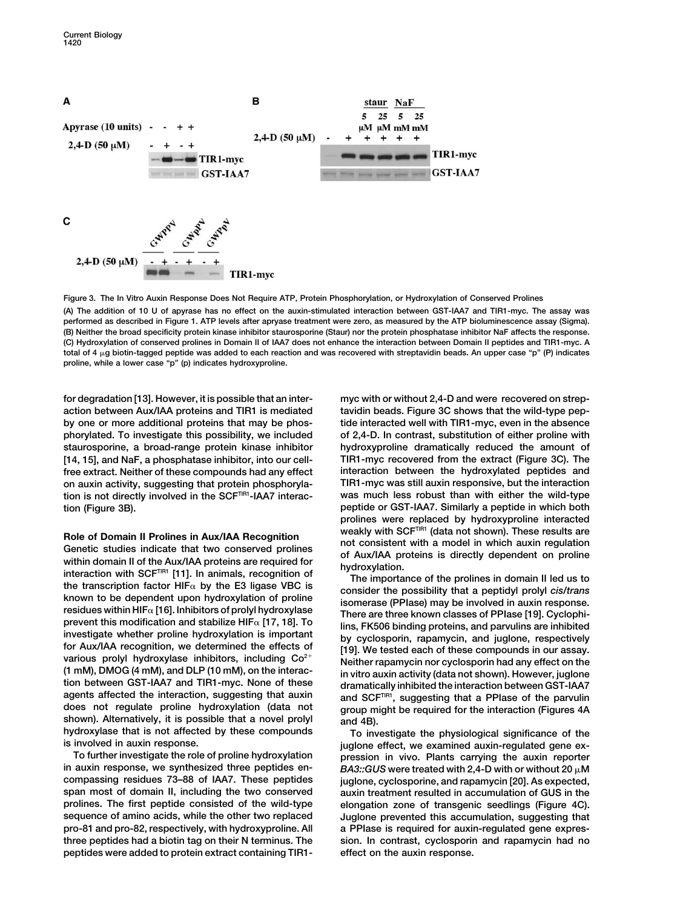

**Figure 3. The In Vitro Auxin Response Does Not Require ATP, Protein Phosphorylation, or Hydroxylation of Conserved Prolines**

**(A) The addition of 10 U of apyrase has no effect on the auxin-stimulated interaction between GST-IAA7 and TIR1-myc. The assay was performed as described in Figure 1. ATP levels after apryase treatment were zero, as measured by the ATP bioluminescence assay (Sigma). (B) Neither the broad specificity protein kinase inhibitor staurosporine (Staur) nor the protein phosphatase inhibitor NaF affects the response. (C) Hydroxylation of conserved prolines in Domain II of IAA7 does not enhance the interaction between Domain II peptides and TIR1-myc. A total of 4 g biotin-tagged peptide was added to each reaction and was recovered with streptavidin beads. An upper case "p" (P) indicates proline, while a lower case "p" (p) indicates hydroxyproline.**

**action between Aux/IAA proteins and TIR1 is mediated tavidin beads. Figure 3C shows that the wild-type pepby one or more additional proteins that may be phos- tide interacted well with TIR1-myc, even in the absence phorylated. To investigate this possibility, we included of 2,4-D. In contrast, substitution of either proline with staurosporine, a broad-range protein kinase inhibitor hydroxyproline dramatically reduced the amount of [14, 15], and NaF, a phosphatase inhibitor, into our cell- TIR1-myc recovered from the extract (Figure 3C). The free extract. Neither of these compounds had any effect interaction between the hydroxylated peptides and on auxin activity, suggesting that protein phosphoryla- TIR1-myc was still auxin responsive, but the interaction tion is not directly involved in the SCFTIR1-IAA7 interac- was much less robust than with either the wild-type tion (Figure 3B). peptide or GST-IAA7. Similarly a peptide in which both**

Role of Domain II Prolines in Aux/IAA Recognition<br>
Genetic studies indicate that two conserved prolines<br>
with SCF<sup>TIR1</sup> (data not shown). These results are<br>
within domain II of the Aux/IAA proteins are required for<br>
inter various prolyl hydroxylase inhibitors, including  $Co^{2+}$ <br>
(1 mM), DMOG (4 mM), and DLP (10 mM), on the interac-<br>
tion between GST-IAA7 and TIR1-myc. None of these<br>
agents affected the interaction, suggesting that auxin<br>
d shown). Alternatively, it is possible that a novel prolyl and 4B).<br>hydroxylase that is not affected by these compounds  $\tau_0$  inv **hydroxylase that is not affected by these compounds To investigate the physiological significance of the**

**To further investigate the role of proline hydroxylation pression in vivo. Plants carrying the auxin reporter compassing residues 73–88 of IAA7. These peptides juglone, cyclosporine, and rapamycin [20]. As expected, span most of domain II, including the two conserved auxin treatment resulted in accumulation of GUS in the prolines. The first peptide consisted of the wild-type elongation zone of transgenic seedlings (Figure 4C). sequence of amino acids, while the other two replaced Juglone prevented this accumulation, suggesting that pro-81 and pro-82, respectively, with hydroxyproline. All a PPIase is required for auxin-regulated gene expresthree peptides had a biotin tag on their N terminus. The sion. In contrast, cyclosporin and rapamycin had no peptides were added to protein extract containing TIR1- effect on the auxin response.**

**for degradation [13]. However, it is possible that an inter- myc with or without 2,4-D and were recovered on strepprolines were replaced by hydroxyproline interacted**

involved in auxin response.<br>To further investigate the role of proline hydroxylation **by pression in vivo.** Plants carrying the auxin reporter *BA3::GUS* **were treated with 2,4-D with or without 20**  $\mu$ **M**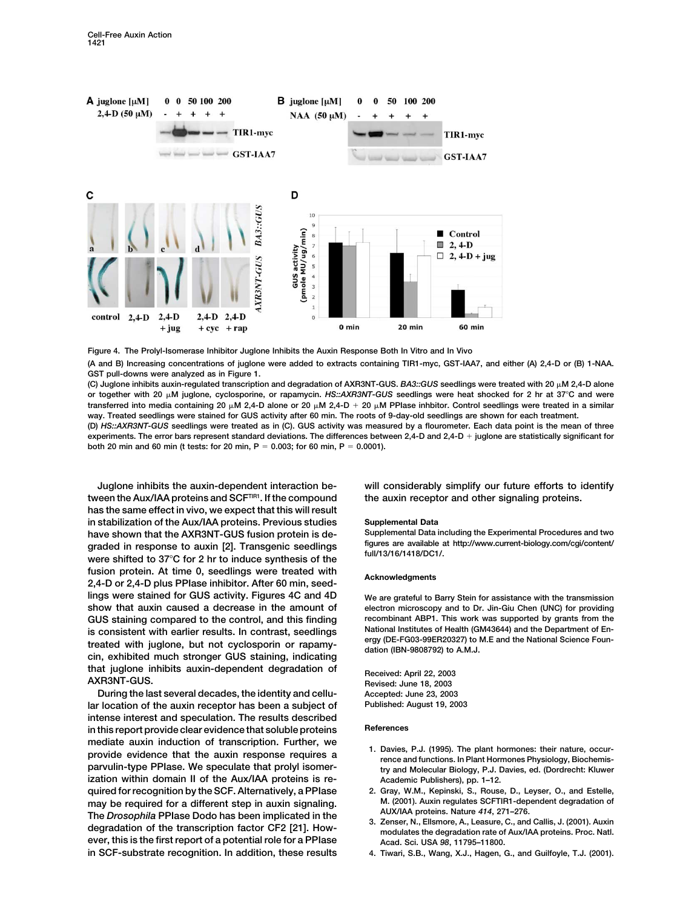



**GST pull-downs were analyzed as in Figure 1.** (C) Juglone inhibits auxin-regulated transcription and degradation of AXR3NT-GUS. *BA3::GUS* seedlings were treated with 20  $\mu$ M 2,4-D alone **or together with 20 M juglone, cyclosporine, or rapamycin.** *HS::AXR3NT-GUS* **seedlings were heat shocked for 2 hr at 37C and were transferred into media containing 20 M 2,4-D alone or 20 M 2,4-D 20 M PPIase inhbitor. Control seedlings were treated in a similar**

**way. Treated seedlings were stained for GUS activity after 60 min. The roots of 9-day-old seedlings are shown for each treatment. (D)** *HS::AXR3NT-GUS* **seedlings were treated as in (C). GUS activity was measured by a flourometer. Each data point is the mean of three experiments. The error bars represent standard deviations. The differences between 2,4-D and 2,4-D juglone are statistically significant for both 20 min and 60 min (t tests: for 20 min, P 0.003; for 60 min, P 0.0001).**

tween the Aux/IAA proteins and SCF<sup>TIR1</sup>. If the compound the auxin receptor and other signaling proteins. **has the same effect in vivo, we expect that this will result in stabilization of the Aux/IAA proteins. Previous studies Supplemental Data have shown that the AXR3NT-GUS fusion protein is de- Supplemental Data including the Experimental Procedures and two** graded in response to auxin [2]. Transgenic seedlings and full/13/16/1418/DC1/.<br>were shifted to 37°C for 2 hr to induce synthesis of the full/13/16/1418/DC1/. **fusion protein. At time 0, seedlings were treated with Acknowledgments 2,4-D or 2,4-D plus PPIase inhibitor. After 60 min, seedlings were stained for GUS activity. Figures 4C and 4D We are grateful to Barry Stein for assistance with the transmission show that auxin caused a decrease in the amount of electron microscopy and to Dr. Jin-Giu Chen (UNC) for providing GUS staining compared to the control, and this finding recombinant ABP1. This work was supported by grants from the** is consistent with earlier results. In contrast, seedlings<br>treated with juglone, but not cyclosporin or rapamy-<br>cin, exhibited much stronger GUS staining, indicating<br>cin, exhibited much stronger GUS staining, indicating<br>da **that juglone inhibits auxin-dependent degradation of Received: April 22, 2003 AXR3NT-GUS. Revised: June 18, 2003**

**During the last several decades, the identity and cellu- Accepted: June 23, 2003 lar location of the auxin receptor has been a subject of Published: August 19, 2003 intense interest and speculation. The results described References in this report provide clear evidence that soluble proteins** mediate auxin induction of transcription. Further, we<br>provide evidence that the auxin response requires a<br>parvulin-type PPIase. We speculate that prolyl isomer-<br>parvulin-type PPIase. We speculate that prolyl isomer-<br>try an **ization within domain II of the Aux/IAA proteins is re- Academic Publishers), pp. 1–12. quired for recognition by the SCF. Alternatively, a PPIase 2. Gray, W.M., Kepinski, S., Rouse, D., Leyser, O., and Estelle,** may be required for a different step in auxin signaling. M. (2001). Auxin regulates SCFTIR1-dep<br>The Dreasnabile PPlace Dade has been impliedted in the MUX/IAA proteins. Nature 414, 271-276. The Drosophila PPIase Dodo has been implicated in the AUXIAA proteins. Nature 414, 271-276.<br>degradation of the transcription factor CF2 [21]. How-<br>modulates the degradation rate of Aux/IAA proteins. Proc. Natl. **ever, this is the first report of a potential role for a PPIase** Acad. Sci. USA 98, 11795-11800. **in SCF-substrate recognition. In addition, these results 4. Tiwari, S.B., Wang, X.J., Hagen, G., and Guilfoyle, T.J. (2001).**

**Juglone inhibits the auxin-dependent interaction be- will considerably simplify our future efforts to identify**

- 
- 
- 
-